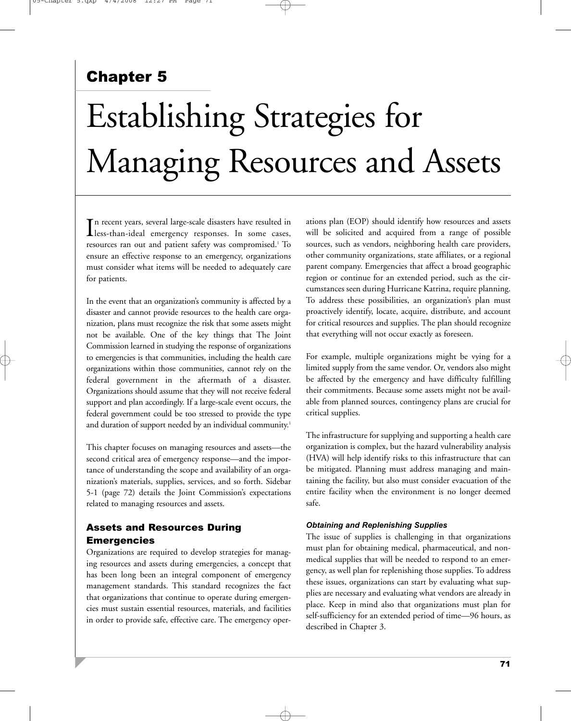# Chapter 5

# Establishing Strategies for Managing Resources and Assets

In recent years, several large-scale disasters have resulted in<br>less-than-ideal emergency responses. In some cases, less-than-ideal emergency responses. In some cases, resources ran out and patient safety was compromised.<sup>1</sup> To ensure an effective response to an emergency, organizations must consider what items will be needed to adequately care for patients.

In the event that an organization's community is affected by a disaster and cannot provide resources to the health care organization, plans must recognize the risk that some assets might not be available. One of the key things that The Joint Commission learned in studying the response of organizations to emergencies is that communities, including the health care organizations within those communities, cannot rely on the federal government in the aftermath of a disaster. Organizations should assume that they will not receive federal support and plan accordingly. If a large-scale event occurs, the federal government could be too stressed to provide the type and duration of support needed by an individual community.<sup>1</sup>

This chapter focuses on managing resources and assets—the second critical area of emergency response—and the importance of understanding the scope and availability of an organization's materials, supplies, services, and so forth. Sidebar 5-1 (page 72) details the Joint Commission's expectations related to managing resources and assets.

# Assets and Resources During Emergencies

Organizations are required to develop strategies for managing resources and assets during emergencies, a concept that has been long been an integral component of emergency management standards. This standard recognizes the fact that organizations that continue to operate during emergencies must sustain essential resources, materials, and facilities in order to provide safe, effective care. The emergency operations plan (EOP) should identify how resources and assets will be solicited and acquired from a range of possible sources, such as vendors, neighboring health care providers, other community organizations, state affiliates, or a regional parent company. Emergencies that affect a broad geographic region or continue for an extended period, such as the circumstances seen during Hurricane Katrina, require planning. To address these possibilities, an organization's plan must proactively identify, locate, acquire, distribute, and account for critical resources and supplies. The plan should recognize that everything will not occur exactly as foreseen.

For example, multiple organizations might be vying for a limited supply from the same vendor. Or, vendors also might be affected by the emergency and have difficulty fulfilling their commitments. Because some assets might not be available from planned sources, contingency plans are crucial for critical supplies.

The infrastructure for supplying and supporting a health care organization is complex, but the hazard vulnerability analysis (HVA) will help identify risks to this infrastructure that can be mitigated. Planning must address managing and maintaining the facility, but also must consider evacuation of the entire facility when the environment is no longer deemed safe.

# *Obtaining and Replenishing Supplies*

The issue of supplies is challenging in that organizations must plan for obtaining medical, pharmaceutical, and nonmedical supplies that will be needed to respond to an emergency, as well plan for replenishing those supplies. To address these issues, organizations can start by evaluating what supplies are necessary and evaluating what vendors are already in place. Keep in mind also that organizations must plan for self-sufficiency for an extended period of time—96 hours, as described in Chapter 3.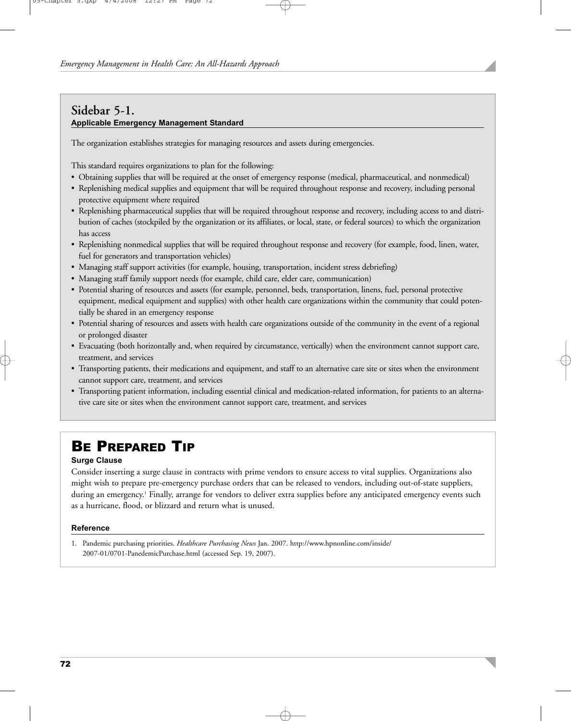# **Sidebar 5-1. Applicable Emergency Management Standard**

The organization establishes strategies for managing resources and assets during emergencies.

This standard requires organizations to plan for the following:

- Obtaining supplies that will be required at the onset of emergency response (medical, pharmaceutical, and nonmedical)
- Replenishing medical supplies and equipment that will be required throughout response and recovery, including personal protective equipment where required
- Replenishing pharmaceutical supplies that will be required throughout response and recovery, including access to and distribution of caches (stockpiled by the organization or its affiliates, or local, state, or federal sources) to which the organization has access
- Replenishing nonmedical supplies that will be required throughout response and recovery (for example, food, linen, water, fuel for generators and transportation vehicles)
- Managing staff support activities (for example, housing, transportation, incident stress debriefing)
- Managing staff family support needs (for example, child care, elder care, communication)
- Potential sharing of resources and assets (for example, personnel, beds, transportation, linens, fuel, personal protective equipment, medical equipment and supplies) with other health care organizations within the community that could potentially be shared in an emergency response
- Potential sharing of resources and assets with health care organizations outside of the community in the event of a regional or prolonged disaster
- Evacuating (both horizontally and, when required by circumstance, vertically) when the environment cannot support care, treatment, and services
- Transporting patients, their medications and equipment, and staff to an alternative care site or sites when the environment cannot support care, treatment, and services
- Transporting patient information, including essential clinical and medication-related information, for patients to an alternative care site or sites when the environment cannot support care, treatment, and services

# BE PREPARED TIP

# **Surge Clause**

Consider inserting a surge clause in contracts with prime vendors to ensure access to vital supplies. Organizations also might wish to prepare pre-emergency purchase orders that can be released to vendors, including out-of-state suppliers, during an emergency.<sup>1</sup> Finally, arrange for vendors to deliver extra supplies before any anticipated emergency events such as a hurricane, flood, or blizzard and return what is unused.

## **Reference**

1. Pandemic purchasing priorities. *Healthcare Purchasing News* Jan. 2007. http://www.hpnonline.com/inside/ 2007-01/0701-PanedemicPurchase.html (accessed Sep. 19, 2007).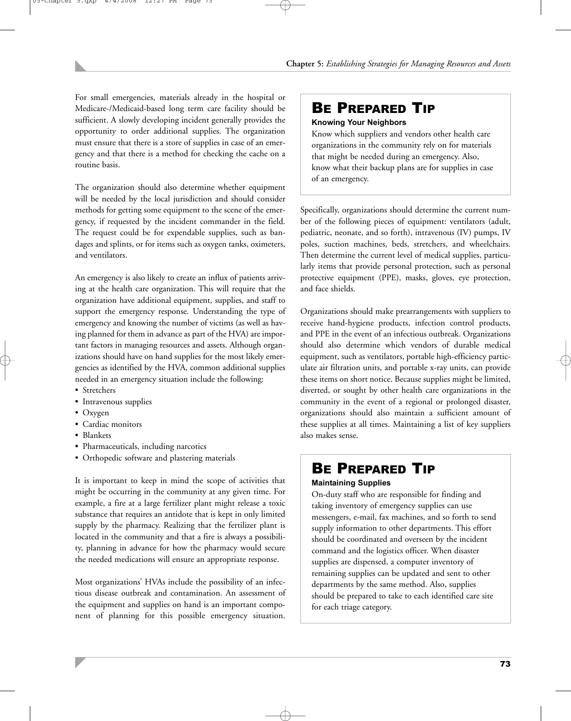For small emergencies, materials already in the hospital or Medicare-/Medicaid-based long term care facility should be sufficient. A slowly developing incident generally provides the opportunity to order additional supplies. The organization must ensure that there is a store of supplies in case of an emergency and that there is a method for checking the cache on a routine basis.

The organization should also determine whether equipment will be needed by the local jurisdiction and should consider methods for getting some equipment to the scene of the emergency, if requested by the incident commander in the field. The request could be for expendable supplies, such as bandages and splints, or for items such as oxygen tanks, oximeters, and ventilators.

An emergency is also likely to create an influx of patients arriving at the health care organization. This will require that the organization have additional equipment, supplies, and staff to support the emergency response. Understanding the type of emergency and knowing the number of victims (as well as having planned for them in advance as part of the HVA) are important factors in managing resources and assets. Although organizations should have on hand supplies for the most likely emergencies as identified by the HVA, common additional supplies needed in an emergency situation include the following:

- Stretchers
- Intravenous supplies
- Oxygen
- Cardiac monitors
- Blankets
- Pharmaceuticals, including narcotics
- Orthopedic software and plastering materials

It is important to keep in mind the scope of activities that might be occurring in the community at any given time. For example, a fire at a large fertilizer plant might release a toxic substance that requires an antidote that is kept in only limited supply by the pharmacy. Realizing that the fertilizer plant is located in the community and that a fire is always a possibility, planning in advance for how the pharmacy would secure the needed medications will ensure an appropriate response.

Most organizations' HVAs include the possibility of an infectious disease outbreak and contamination. An assessment of the equipment and supplies on hand is an important component of planning for this possible emergency situation.

# BE PREPARED TIP

# **Knowing Your Neighbors**

Know which suppliers and vendors other health care organizations in the community rely on for materials that might be needed during an emergency. Also, know what their backup plans are for supplies in case of an emergency.

Specifically, organizations should determine the current number of the following pieces of equipment: ventilators (adult, pediatric, neonate, and so forth), intravenous (IV) pumps, IV poles, suction machines, beds, stretchers, and wheelchairs. Then determine the current level of medical supplies, particularly items that provide personal protection, such as personal protective equipment (PPE), masks, gloves, eye protection, and face shields.

Organizations should make prearrangements with suppliers to receive hand-hygiene products, infection control products, and PPE in the event of an infectious outbreak. Organizations should also determine which vendors of durable medical equipment, such as ventilators, portable high-efficiency particulate air filtration units, and portable x-ray units, can provide these items on short notice. Because supplies might be limited, diverted, or sought by other health care organizations in the community in the event of a regional or prolonged disaster, organizations should also maintain a sufficient amount of these supplies at all times. Maintaining a list of key suppliers also makes sense.

# BE PREPARED TIP

# **Maintaining Supplies**

On-duty staff who are responsible for finding and taking inventory of emergency supplies can use messengers, e-mail, fax machines, and so forth to send supply information to other departments. This effort should be coordinated and overseen by the incident command and the logistics officer. When disaster supplies are dispensed, a computer inventory of remaining supplies can be updated and sent to other departments by the same method. Also, supplies should be prepared to take to each identified care site for each triage category.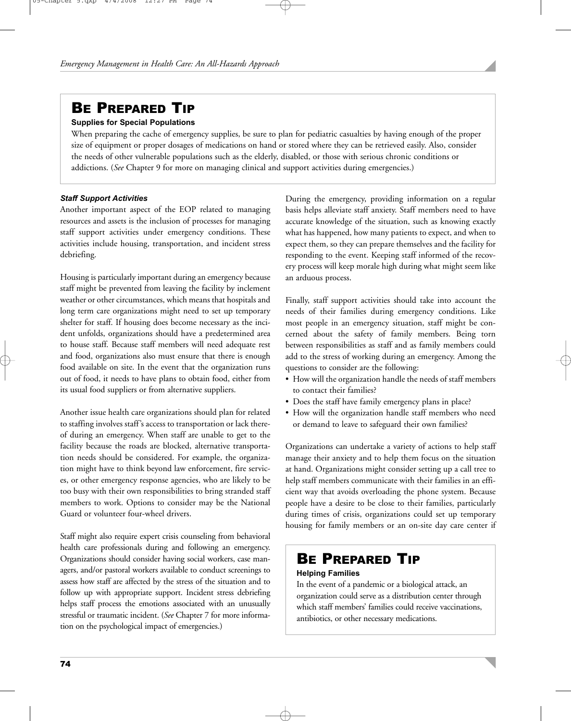# BE PREPARED TIP

# **Supplies for Special Populations**

When preparing the cache of emergency supplies, be sure to plan for pediatric casualties by having enough of the proper size of equipment or proper dosages of medications on hand or stored where they can be retrieved easily. Also, consider the needs of other vulnerable populations such as the elderly, disabled, or those with serious chronic conditions or addictions. (*See* Chapter 9 for more on managing clinical and support activities during emergencies.)

## *Staff Support Activities*

Another important aspect of the EOP related to managing resources and assets is the inclusion of processes for managing staff support activities under emergency conditions. These activities include housing, transportation, and incident stress debriefing.

Housing is particularly important during an emergency because staff might be prevented from leaving the facility by inclement weather or other circumstances, which means that hospitals and long term care organizations might need to set up temporary shelter for staff. If housing does become necessary as the incident unfolds, organizations should have a predetermined area to house staff. Because staff members will need adequate rest and food, organizations also must ensure that there is enough food available on site. In the event that the organization runs out of food, it needs to have plans to obtain food, either from its usual food suppliers or from alternative suppliers.

Another issue health care organizations should plan for related to staffing involves staff's access to transportation or lack thereof during an emergency. When staff are unable to get to the facility because the roads are blocked, alternative transportation needs should be considered. For example, the organization might have to think beyond law enforcement, fire services, or other emergency response agencies, who are likely to be too busy with their own responsibilities to bring stranded staff members to work. Options to consider may be the National Guard or volunteer four-wheel drivers.

Staff might also require expert crisis counseling from behavioral health care professionals during and following an emergency. Organizations should consider having social workers, case managers, and/or pastoral workers available to conduct screenings to assess how staff are affected by the stress of the situation and to follow up with appropriate support. Incident stress debriefing helps staff process the emotions associated with an unusually stressful or traumatic incident. (*See* Chapter 7 for more information on the psychological impact of emergencies.)

During the emergency, providing information on a regular basis helps alleviate staff anxiety. Staff members need to have accurate knowledge of the situation, such as knowing exactly what has happened, how many patients to expect, and when to expect them, so they can prepare themselves and the facility for responding to the event. Keeping staff informed of the recovery process will keep morale high during what might seem like an arduous process.

Finally, staff support activities should take into account the needs of their families during emergency conditions. Like most people in an emergency situation, staff might be concerned about the safety of family members. Being torn between responsibilities as staff and as family members could add to the stress of working during an emergency. Among the questions to consider are the following:

- How will the organization handle the needs of staff members to contact their families?
- Does the staff have family emergency plans in place?
- How will the organization handle staff members who need or demand to leave to safeguard their own families?

Organizations can undertake a variety of actions to help staff manage their anxiety and to help them focus on the situation at hand. Organizations might consider setting up a call tree to help staff members communicate with their families in an efficient way that avoids overloading the phone system. Because people have a desire to be close to their families, particularly during times of crisis, organizations could set up temporary housing for family members or an on-site day care center if

# BE PREPARED TIP

## **Helping Families**

In the event of a pandemic or a biological attack, an organization could serve as a distribution center through which staff members' families could receive vaccinations, antibiotics, or other necessary medications.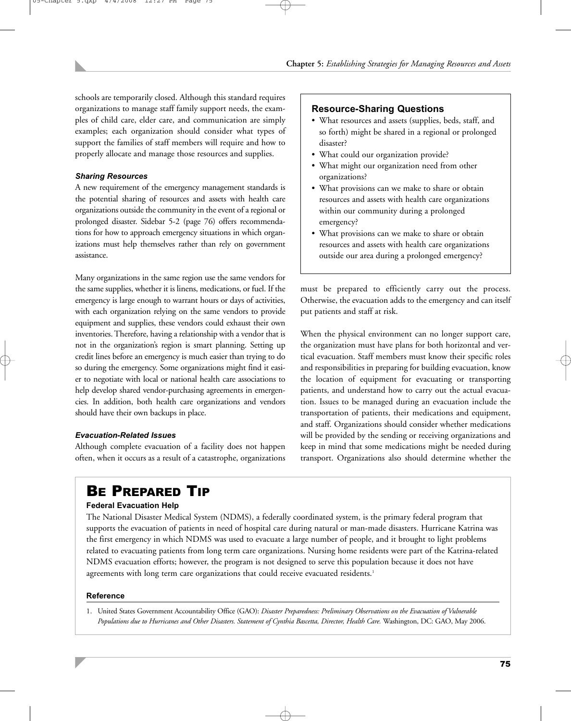schools are temporarily closed. Although this standard requires organizations to manage staff family support needs, the examples of child care, elder care, and communication are simply examples; each organization should consider what types of support the families of staff members will require and how to properly allocate and manage those resources and supplies.

# *Sharing Resources*

A new requirement of the emergency management standards is the potential sharing of resources and assets with health care organizations outside the community in the event of a regional or prolonged disaster. Sidebar 5-2 (page 76) offers recommendations for how to approach emergency situations in which organizations must help themselves rather than rely on government assistance.

Many organizations in the same region use the same vendors for the same supplies, whether it is linens, medications, or fuel. If the emergency is large enough to warrant hours or days of activities, with each organization relying on the same vendors to provide equipment and supplies, these vendors could exhaust their own inventories. Therefore, having a relationship with a vendor that is not in the organization's region is smart planning. Setting up credit lines before an emergency is much easier than trying to do so during the emergency. Some organizations might find it easier to negotiate with local or national health care associations to help develop shared vendor-purchasing agreements in emergencies. In addition, both health care organizations and vendors should have their own backups in place.

## *Evacuation-Related Issues*

Although complete evacuation of a facility does not happen often, when it occurs as a result of a catastrophe, organizations

# **Resource-Sharing Questions**

- What resources and assets (supplies, beds, staff, and so forth) might be shared in a regional or prolonged disaster?
- What could our organization provide?
- What might our organization need from other organizations?
- What provisions can we make to share or obtain resources and assets with health care organizations within our community during a prolonged emergency?
- What provisions can we make to share or obtain resources and assets with health care organizations outside our area during a prolonged emergency?

must be prepared to efficiently carry out the process. Otherwise, the evacuation adds to the emergency and can itself put patients and staff at risk.

When the physical environment can no longer support care, the organization must have plans for both horizontal and vertical evacuation. Staff members must know their specific roles and responsibilities in preparing for building evacuation, know the location of equipment for evacuating or transporting patients, and understand how to carry out the actual evacuation. Issues to be managed during an evacuation include the transportation of patients, their medications and equipment, and staff. Organizations should consider whether medications will be provided by the sending or receiving organizations and keep in mind that some medications might be needed during transport. Organizations also should determine whether the

# BE PREPARED TIP

## **Federal Evacuation Help**

The National Disaster Medical System (NDMS), a federally coordinated system, is the primary federal program that supports the evacuation of patients in need of hospital care during natural or man-made disasters. Hurricane Katrina was the first emergency in which NDMS was used to evacuate a large number of people, and it brought to light problems related to evacuating patients from long term care organizations. Nursing home residents were part of the Katrina-related NDMS evacuation efforts; however, the program is not designed to serve this population because it does not have agreements with long term care organizations that could receive evacuated residents.<sup>1</sup>

## **Reference**

1. United States Government Accountability Office (GAO): *Disaster Preparedness: Preliminary Observations on the Evacuation of Vulnerable Populations due to Hurricanes and Other Disasters. Statement of Cynthia Bascetta, Director, Health Care.* Washington, DC: GAO, May 2006.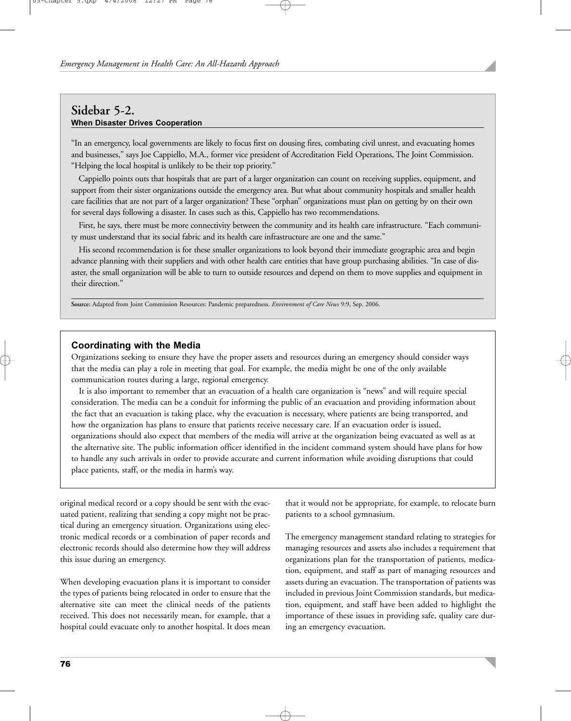# **Sidebar 5-2. When Disaster Drives Cooperation**

"In an emergency, local governments are likely to focus first on dousing fires, combating civil unrest, and evacuating homes and businesses," says Joe Cappiello, M.A., former vice president of Accreditation Field Operations, The Joint Commission. "Helping the local hospital is unlikely to be their top priority."

Cappiello points outs that hospitals that are part of a larger organization can count on receiving supplies, equipment, and support from their sister organizations outside the emergency area. But what about community hospitals and smaller health care facilities that are not part of a larger organization? These "orphan" organizations must plan on getting by on their own for several days following a disaster. In cases such as this, Cappiello has two recommendations.

First, he says, there must be more connectivity between the community and its health care infrastructure. "Each community must understand that its social fabric and its health care infrastructure are one and the same."

His second recommendation is for these smaller organizations to look beyond their immediate geographic area and begin advance planning with their suppliers and with other health care entities that have group purchasing abilities. "In case of disaster, the small organization will be able to turn to outside resources and depend on them to move supplies and equipment in their direction."

**Source:** Adapted from Joint Commission Resources: Pandemic preparedness. *Environment of Care News* 9:9, Sep. 2006.

# **Coordinating with the Media**

Organizations seeking to ensure they have the proper assets and resources during an emergency should consider ways that the media can play a role in meeting that goal. For example, the media might be one of the only available communication routes during a large, regional emergency.

It is also important to remember that an evacuation of a health care organization is "news" and will require special consideration. The media can be a conduit for informing the public of an evacuation and providing information about the fact that an evacuation is taking place, why the evacuation is necessary, where patients are being transported, and how the organization has plans to ensure that patients receive necessary care. If an evacuation order is issued, organizations should also expect that members of the media will arrive at the organization being evacuated as well as at the alternative site. The public information officer identified in the incident command system should have plans for how to handle any such arrivals in order to provide accurate and current information while avoiding disruptions that could place patients, staff, or the media in harm's way.

original medical record or a copy should be sent with the evacuated patient, realizing that sending a copy might not be practical during an emergency situation. Organizations using electronic medical records or a combination of paper records and electronic records should also determine how they will address this issue during an emergency.

When developing evacuation plans it is important to consider the types of patients being relocated in order to ensure that the alternative site can meet the clinical needs of the patients received. This does not necessarily mean, for example, that a hospital could evacuate only to another hospital. It does mean that it would not be appropriate, for example, to relocate burn patients to a school gymnasium.

The emergency management standard relating to strategies for managing resources and assets also includes a requirement that organizations plan for the transportation of patients, medication, equipment, and staff as part of managing resources and assets during an evacuation. The transportation of patients was included in previous Joint Commission standards, but medication, equipment, and staff have been added to highlight the importance of these issues in providing safe, quality care during an emergency evacuation.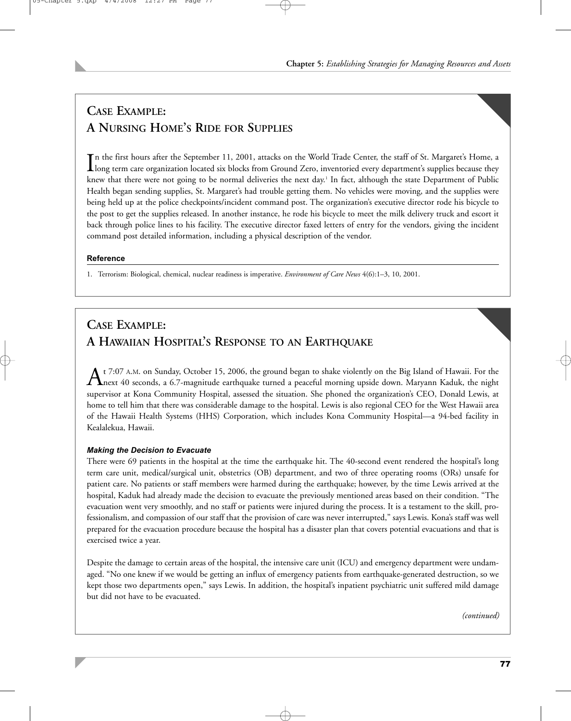# **CASE EXAMPLE: A NURSING HOME'S RIDE FOR SUPPLIES**

In the first hours after the September 11, 2001, attacks on the World Trade Center, the staff of St. Margaret's Home, a<br>long term care organization located six blocks from Ground Zero, inventoried every department's suppli long term care organization located six blocks from Ground Zero, inventoried every department's supplies because they knew that there were not going to be normal deliveries the next day.<sup>1</sup> In fact, although the state Department of Public Health began sending supplies, St. Margaret's had trouble getting them. No vehicles were moving, and the supplies were being held up at the police checkpoints/incident command post. The organization's executive director rode his bicycle to the post to get the supplies released. In another instance, he rode his bicycle to meet the milk delivery truck and escort it back through police lines to his facility. The executive director faxed letters of entry for the vendors, giving the incident command post detailed information, including a physical description of the vendor.

# **Reference**

1. Terrorism: Biological, chemical, nuclear readiness is imperative. *Environment of Care News* 4(6):1–3, 10, 2001.

# **CASE EXAMPLE: A HAWAIIAN HOSPITAL'S RESPONSE TO AN EARTHQUAKE**

At 7:07 A.M. on Sunday, October 15, 2006, the ground began to shake violently on the Big Island of Hawaii. For the heat of Hawaii. For the night down. Maryann Kaduk, the night down. Maryann Kaduk, the night supervisor at Kona Community Hospital, assessed the situation. She phoned the organization's CEO, Donald Lewis, at home to tell him that there was considerable damage to the hospital. Lewis is also regional CEO for the West Hawaii area of the Hawaii Health Systems (HHS) Corporation, which includes Kona Community Hospital—a 94-bed facility in Kealalekua, Hawaii.

# *Making the Decision to Evacuate*

There were 69 patients in the hospital at the time the earthquake hit. The 40-second event rendered the hospital's long term care unit, medical/surgical unit, obstetrics (OB) department, and two of three operating rooms (ORs) unsafe for patient care. No patients or staff members were harmed during the earthquake; however, by the time Lewis arrived at the hospital, Kaduk had already made the decision to evacuate the previously mentioned areas based on their condition. "The evacuation went very smoothly, and no staff or patients were injured during the process. It is a testament to the skill, professionalism, and compassion of our staff that the provision of care was never interrupted," says Lewis. Kona's staff was well prepared for the evacuation procedure because the hospital has a disaster plan that covers potential evacuations and that is exercised twice a year.

Despite the damage to certain areas of the hospital, the intensive care unit (ICU) and emergency department were undamaged. "No one knew if we would be getting an influx of emergency patients from earthquake-generated destruction, so we kept those two departments open," says Lewis. In addition, the hospital's inpatient psychiatric unit suffered mild damage but did not have to be evacuated.

*(continued)*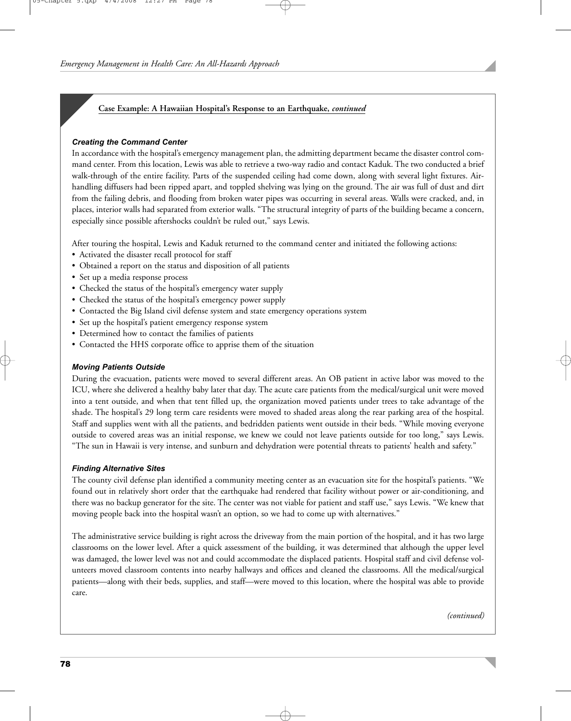# **Case Example: A Hawaiian Hospital's Response to an Earthquake,** *continued*

## *Creating the Command Center*

In accordance with the hospital's emergency management plan, the admitting department became the disaster control command center. From this location, Lewis was able to retrieve a two-way radio and contact Kaduk. The two conducted a brief walk-through of the entire facility. Parts of the suspended ceiling had come down, along with several light fixtures. Airhandling diffusers had been ripped apart, and toppled shelving was lying on the ground. The air was full of dust and dirt from the failing debris, and flooding from broken water pipes was occurring in several areas. Walls were cracked, and, in places, interior walls had separated from exterior walls. "The structural integrity of parts of the building became a concern, especially since possible aftershocks couldn't be ruled out," says Lewis.

After touring the hospital, Lewis and Kaduk returned to the command center and initiated the following actions:

- Activated the disaster recall protocol for staff
- Obtained a report on the status and disposition of all patients
- Set up a media response process
- Checked the status of the hospital's emergency water supply
- Checked the status of the hospital's emergency power supply
- Contacted the Big Island civil defense system and state emergency operations system
- Set up the hospital's patient emergency response system
- Determined how to contact the families of patients
- Contacted the HHS corporate office to apprise them of the situation

## *Moving Patients Outside*

During the evacuation, patients were moved to several different areas. An OB patient in active labor was moved to the ICU, where she delivered a healthy baby later that day. The acute care patients from the medical/surgical unit were moved into a tent outside, and when that tent filled up, the organization moved patients under trees to take advantage of the shade. The hospital's 29 long term care residents were moved to shaded areas along the rear parking area of the hospital. Staff and supplies went with all the patients, and bedridden patients went outside in their beds. "While moving everyone outside to covered areas was an initial response, we knew we could not leave patients outside for too long," says Lewis. "The sun in Hawaii is very intense, and sunburn and dehydration were potential threats to patients' health and safety."

#### *Finding Alternative Sites*

The county civil defense plan identified a community meeting center as an evacuation site for the hospital's patients. "We found out in relatively short order that the earthquake had rendered that facility without power or air-conditioning, and there was no backup generator for the site. The center was not viable for patient and staff use," says Lewis. "We knew that moving people back into the hospital wasn't an option, so we had to come up with alternatives."

The administrative service building is right across the driveway from the main portion of the hospital, and it has two large classrooms on the lower level. After a quick assessment of the building, it was determined that although the upper level was damaged, the lower level was not and could accommodate the displaced patients. Hospital staff and civil defense volunteers moved classroom contents into nearby hallways and offices and cleaned the classrooms. All the medical/surgical patients—along with their beds, supplies, and staff—were moved to this location, where the hospital was able to provide care.

*(continued)*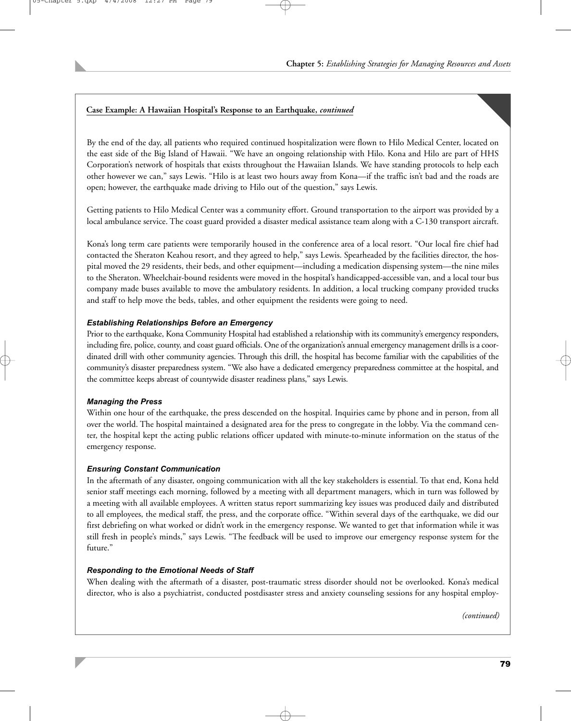# **Case Example: A Hawaiian Hospital's Response to an Earthquake,** *continued*

By the end of the day, all patients who required continued hospitalization were flown to Hilo Medical Center, located on the east side of the Big Island of Hawaii. "We have an ongoing relationship with Hilo. Kona and Hilo are part of HHS Corporation's network of hospitals that exists throughout the Hawaiian Islands. We have standing protocols to help each other however we can," says Lewis. "Hilo is at least two hours away from Kona—if the traffic isn't bad and the roads are open; however, the earthquake made driving to Hilo out of the question," says Lewis.

Getting patients to Hilo Medical Center was a community effort. Ground transportation to the airport was provided by a local ambulance service. The coast guard provided a disaster medical assistance team along with a C-130 transport aircraft.

Kona's long term care patients were temporarily housed in the conference area of a local resort. "Our local fire chief had contacted the Sheraton Keahou resort, and they agreed to help," says Lewis. Spearheaded by the facilities director, the hospital moved the 29 residents, their beds, and other equipment—including a medication dispensing system—the nine miles to the Sheraton. Wheelchair-bound residents were moved in the hospital's handicapped-accessible van, and a local tour bus company made buses available to move the ambulatory residents. In addition, a local trucking company provided trucks and staff to help move the beds, tables, and other equipment the residents were going to need.

## *Establishing Relationships Before an Emergency*

Prior to the earthquake, Kona Community Hospital had established a relationship with its community's emergency responders, including fire, police, county, and coast guard officials. One of the organization's annual emergency management drills is a coordinated drill with other community agencies. Through this drill, the hospital has become familiar with the capabilities of the community's disaster preparedness system. "We also have a dedicated emergency preparedness committee at the hospital, and the committee keeps abreast of countywide disaster readiness plans," says Lewis.

## *Managing the Press*

Within one hour of the earthquake, the press descended on the hospital. Inquiries came by phone and in person, from all over the world. The hospital maintained a designated area for the press to congregate in the lobby. Via the command center, the hospital kept the acting public relations officer updated with minute-to-minute information on the status of the emergency response.

## *Ensuring Constant Communication*

In the aftermath of any disaster, ongoing communication with all the key stakeholders is essential. To that end, Kona held senior staff meetings each morning, followed by a meeting with all department managers, which in turn was followed by a meeting with all available employees. A written status report summarizing key issues was produced daily and distributed to all employees, the medical staff, the press, and the corporate office. "Within several days of the earthquake, we did our first debriefing on what worked or didn't work in the emergency response. We wanted to get that information while it was still fresh in people's minds," says Lewis. "The feedback will be used to improve our emergency response system for the future."

# *Responding to the Emotional Needs of Staff*

When dealing with the aftermath of a disaster, post-traumatic stress disorder should not be overlooked. Kona's medical director, who is also a psychiatrist, conducted postdisaster stress and anxiety counseling sessions for any hospital employ-

*(continued)*